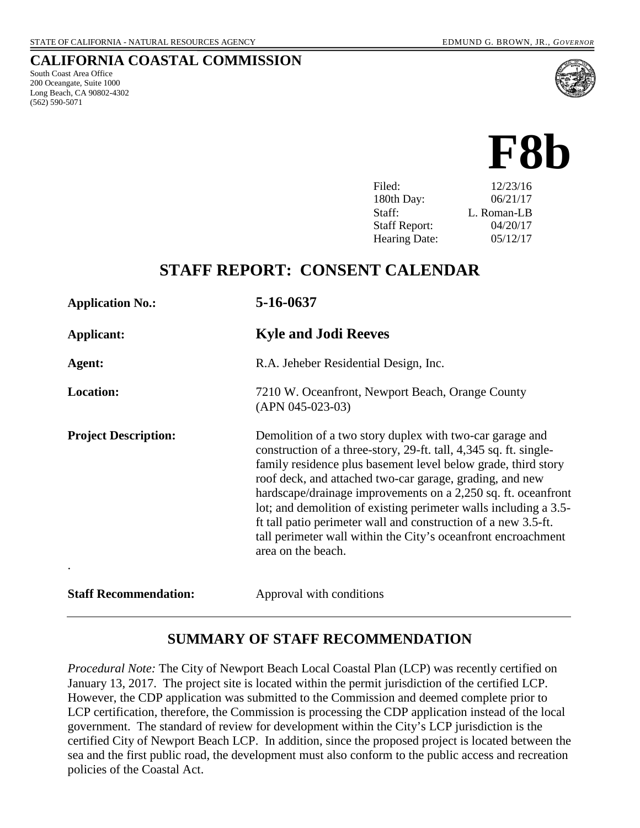South Coast Area Office 200 Oceangate, Suite 1000 Long Beach, CA 90802-4302

(562) 590-5071

**CALIFORNIA COASTAL COMMISSION**

# **F8b**

| Filed:               | 12/23/16    |
|----------------------|-------------|
| 180th Day:           | 06/21/17    |
| Staff:               | L. Roman-LB |
| <b>Staff Report:</b> | 04/20/17    |
| <b>Hearing Date:</b> | 05/12/17    |

### **STAFF REPORT: CONSENT CALENDAR**

| <b>Application No.:</b>      | 5-16-0637                                                                                                                                                                                                                                                                                                                                                                                                                                                                                                                                                |
|------------------------------|----------------------------------------------------------------------------------------------------------------------------------------------------------------------------------------------------------------------------------------------------------------------------------------------------------------------------------------------------------------------------------------------------------------------------------------------------------------------------------------------------------------------------------------------------------|
| Applicant:                   | <b>Kyle and Jodi Reeves</b>                                                                                                                                                                                                                                                                                                                                                                                                                                                                                                                              |
| Agent:                       | R.A. Jeheber Residential Design, Inc.                                                                                                                                                                                                                                                                                                                                                                                                                                                                                                                    |
| Location:                    | 7210 W. Oceanfront, Newport Beach, Orange County<br>$(APN 045-023-03)$                                                                                                                                                                                                                                                                                                                                                                                                                                                                                   |
| <b>Project Description:</b>  | Demolition of a two story duplex with two-car garage and<br>construction of a three-story, 29-ft. tall, 4,345 sq. ft. single-<br>family residence plus basement level below grade, third story<br>roof deck, and attached two-car garage, grading, and new<br>hardscape/drainage improvements on a 2,250 sq. ft. oceanfront<br>lot; and demolition of existing perimeter walls including a 3.5-<br>ft tall patio perimeter wall and construction of a new 3.5-ft.<br>tall perimeter wall within the City's oceanfront encroachment<br>area on the beach. |
| <b>Staff Recommendation:</b> | Approval with conditions                                                                                                                                                                                                                                                                                                                                                                                                                                                                                                                                 |

#### **SUMMARY OF STAFF RECOMMENDATION**

*Procedural Note:* The City of Newport Beach Local Coastal Plan (LCP) was recently certified on January 13, 2017. The project site is located within the permit jurisdiction of the certified LCP. However, the CDP application was submitted to the Commission and deemed complete prior to LCP certification, therefore, the Commission is processing the CDP application instead of the local government. The standard of review for development within the City's LCP jurisdiction is the certified City of Newport Beach LCP. In addition, since the proposed project is located between the sea and the first public road, the development must also conform to the public access and recreation policies of the Coastal Act.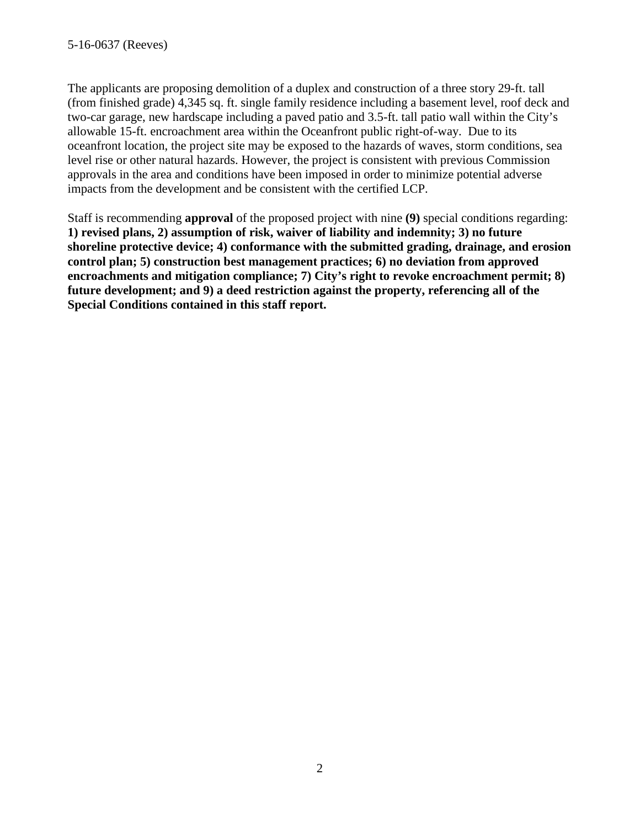The applicants are proposing demolition of a duplex and construction of a three story 29-ft. tall (from finished grade) 4,345 sq. ft. single family residence including a basement level, roof deck and two-car garage, new hardscape including a paved patio and 3.5-ft. tall patio wall within the City's allowable 15-ft. encroachment area within the Oceanfront public right-of-way. Due to its oceanfront location, the project site may be exposed to the hazards of waves, storm conditions, sea level rise or other natural hazards. However, the project is consistent with previous Commission approvals in the area and conditions have been imposed in order to minimize potential adverse impacts from the development and be consistent with the certified LCP.

Staff is recommending **approval** of the proposed project with nine **(9)** special conditions regarding: **1) revised plans, 2) assumption of risk, waiver of liability and indemnity; 3) no future shoreline protective device; 4) conformance with the submitted grading, drainage, and erosion control plan; 5) construction best management practices; 6) no deviation from approved encroachments and mitigation compliance; 7) City's right to revoke encroachment permit; 8) future development; and 9) a deed restriction against the property, referencing all of the Special Conditions contained in this staff report.**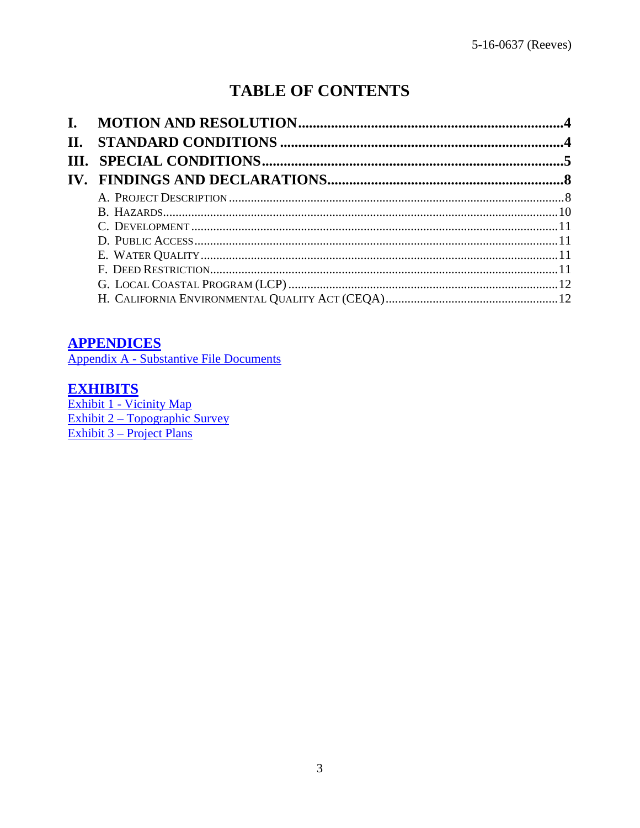# **TABLE OF CONTENTS**

| П. |  |
|----|--|
|    |  |
|    |  |
|    |  |
|    |  |
|    |  |
|    |  |
|    |  |
|    |  |
|    |  |
|    |  |

#### **APPENDICES**

Appendix A - Substantive File Documents

#### **EXHIBITS**

Exhibit 1 - Vicinity Map<br>Exhibit 2 – Topographic Survey Exhibit 3 – Project Plans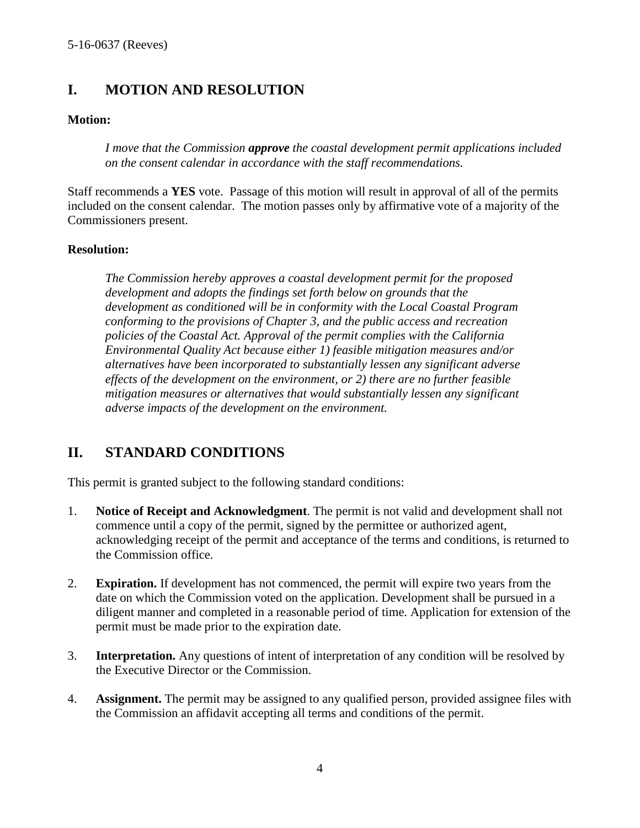#### <span id="page-3-0"></span>**I. MOTION AND RESOLUTION**

#### **Motion:**

*I move that the Commission approve the coastal development permit applications included on the consent calendar in accordance with the staff recommendations.*

Staff recommends a **YES** vote. Passage of this motion will result in approval of all of the permits included on the consent calendar. The motion passes only by affirmative vote of a majority of the Commissioners present.

#### **Resolution:**

*The Commission hereby approves a coastal development permit for the proposed development and adopts the findings set forth below on grounds that the development as conditioned will be in conformity with the Local Coastal Program conforming to the provisions of Chapter 3, and the public access and recreation policies of the Coastal Act. Approval of the permit complies with the California Environmental Quality Act because either 1) feasible mitigation measures and/or alternatives have been incorporated to substantially lessen any significant adverse effects of the development on the environment, or 2) there are no further feasible mitigation measures or alternatives that would substantially lessen any significant adverse impacts of the development on the environment.* 

### <span id="page-3-1"></span>**II. STANDARD CONDITIONS**

This permit is granted subject to the following standard conditions:

- 1. **Notice of Receipt and Acknowledgment**. The permit is not valid and development shall not commence until a copy of the permit, signed by the permittee or authorized agent, acknowledging receipt of the permit and acceptance of the terms and conditions, is returned to the Commission office.
- 2. **Expiration.** If development has not commenced, the permit will expire two years from the date on which the Commission voted on the application. Development shall be pursued in a diligent manner and completed in a reasonable period of time. Application for extension of the permit must be made prior to the expiration date.
- 3. **Interpretation.** Any questions of intent of interpretation of any condition will be resolved by the Executive Director or the Commission.
- 4. **Assignment.** The permit may be assigned to any qualified person, provided assignee files with the Commission an affidavit accepting all terms and conditions of the permit.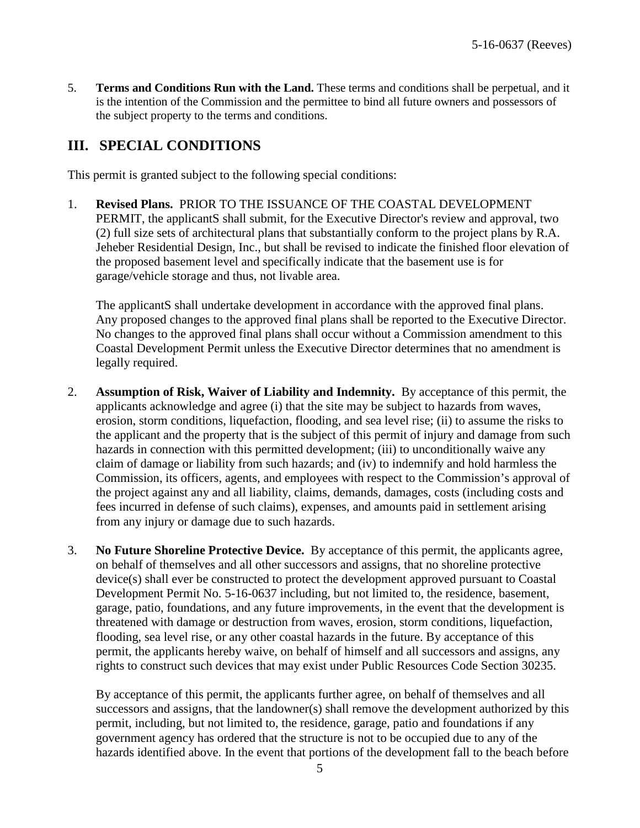5. **Terms and Conditions Run with the Land.** These terms and conditions shall be perpetual, and it is the intention of the Commission and the permittee to bind all future owners and possessors of the subject property to the terms and conditions.

#### <span id="page-4-0"></span>**III. SPECIAL CONDITIONS**

This permit is granted subject to the following special conditions:

1. **Revised Plans.** PRIOR TO THE ISSUANCE OF THE COASTAL DEVELOPMENT PERMIT, the applicantS shall submit, for the Executive Director's review and approval, two (2) full size sets of architectural plans that substantially conform to the project plans by R.A. Jeheber Residential Design, Inc., but shall be revised to indicate the finished floor elevation of the proposed basement level and specifically indicate that the basement use is for garage/vehicle storage and thus, not livable area.

The applicantS shall undertake development in accordance with the approved final plans. Any proposed changes to the approved final plans shall be reported to the Executive Director. No changes to the approved final plans shall occur without a Commission amendment to this Coastal Development Permit unless the Executive Director determines that no amendment is legally required.

- 2. **Assumption of Risk, Waiver of Liability and Indemnity.** By acceptance of this permit, the applicants acknowledge and agree (i) that the site may be subject to hazards from waves, erosion, storm conditions, liquefaction, flooding, and sea level rise; (ii) to assume the risks to the applicant and the property that is the subject of this permit of injury and damage from such hazards in connection with this permitted development; (iii) to unconditionally waive any claim of damage or liability from such hazards; and (iv) to indemnify and hold harmless the Commission, its officers, agents, and employees with respect to the Commission's approval of the project against any and all liability, claims, demands, damages, costs (including costs and fees incurred in defense of such claims), expenses, and amounts paid in settlement arising from any injury or damage due to such hazards.
- 3. **No Future Shoreline Protective Device.** By acceptance of this permit, the applicants agree, on behalf of themselves and all other successors and assigns, that no shoreline protective device(s) shall ever be constructed to protect the development approved pursuant to Coastal Development Permit No. 5-16-0637 including, but not limited to, the residence, basement, garage, patio, foundations, and any future improvements, in the event that the development is threatened with damage or destruction from waves, erosion, storm conditions, liquefaction, flooding, sea level rise, or any other coastal hazards in the future. By acceptance of this permit, the applicants hereby waive, on behalf of himself and all successors and assigns, any rights to construct such devices that may exist under Public Resources Code Section 30235.

By acceptance of this permit, the applicants further agree, on behalf of themselves and all successors and assigns, that the landowner(s) shall remove the development authorized by this permit, including, but not limited to, the residence, garage, patio and foundations if any government agency has ordered that the structure is not to be occupied due to any of the hazards identified above. In the event that portions of the development fall to the beach before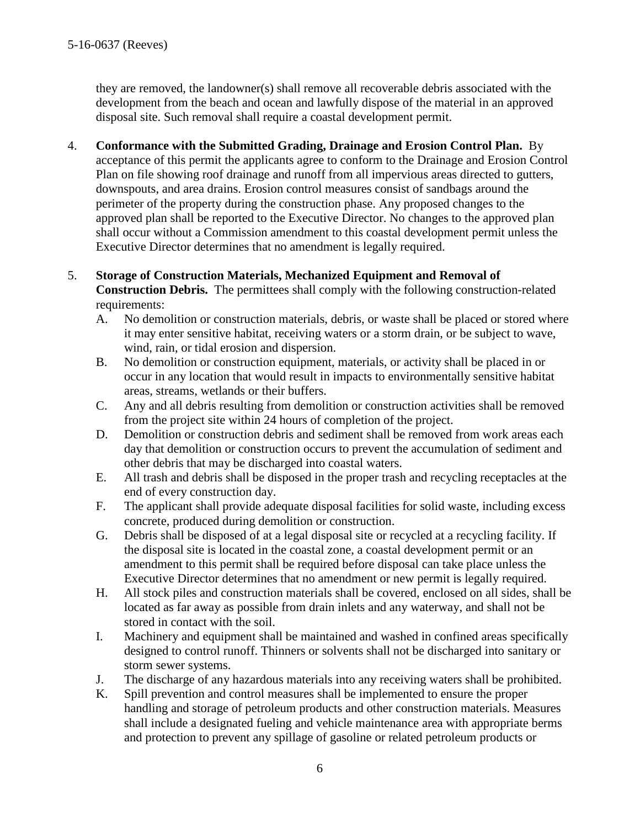they are removed, the landowner(s) shall remove all recoverable debris associated with the development from the beach and ocean and lawfully dispose of the material in an approved disposal site. Such removal shall require a coastal development permit.

4. **Conformance with the Submitted Grading, Drainage and Erosion Control Plan.** By

acceptance of this permit the applicants agree to conform to the Drainage and Erosion Control Plan on file showing roof drainage and runoff from all impervious areas directed to gutters, downspouts, and area drains. Erosion control measures consist of sandbags around the perimeter of the property during the construction phase. Any proposed changes to the approved plan shall be reported to the Executive Director. No changes to the approved plan shall occur without a Commission amendment to this coastal development permit unless the Executive Director determines that no amendment is legally required.

- 5. **Storage of Construction Materials, Mechanized Equipment and Removal of Construction Debris.** The permittees shall comply with the following construction-related requirements:
	- A. No demolition or construction materials, debris, or waste shall be placed or stored where it may enter sensitive habitat, receiving waters or a storm drain, or be subject to wave, wind, rain, or tidal erosion and dispersion.
	- B. No demolition or construction equipment, materials, or activity shall be placed in or occur in any location that would result in impacts to environmentally sensitive habitat areas, streams, wetlands or their buffers.
	- C. Any and all debris resulting from demolition or construction activities shall be removed from the project site within 24 hours of completion of the project.
	- D. Demolition or construction debris and sediment shall be removed from work areas each day that demolition or construction occurs to prevent the accumulation of sediment and other debris that may be discharged into coastal waters.
	- E. All trash and debris shall be disposed in the proper trash and recycling receptacles at the end of every construction day.
	- F. The applicant shall provide adequate disposal facilities for solid waste, including excess concrete, produced during demolition or construction.
	- G. Debris shall be disposed of at a legal disposal site or recycled at a recycling facility. If the disposal site is located in the coastal zone, a coastal development permit or an amendment to this permit shall be required before disposal can take place unless the Executive Director determines that no amendment or new permit is legally required.
	- H. All stock piles and construction materials shall be covered, enclosed on all sides, shall be located as far away as possible from drain inlets and any waterway, and shall not be stored in contact with the soil.
	- I. Machinery and equipment shall be maintained and washed in confined areas specifically designed to control runoff. Thinners or solvents shall not be discharged into sanitary or storm sewer systems.
	- J. The discharge of any hazardous materials into any receiving waters shall be prohibited.
	- K. Spill prevention and control measures shall be implemented to ensure the proper handling and storage of petroleum products and other construction materials. Measures shall include a designated fueling and vehicle maintenance area with appropriate berms and protection to prevent any spillage of gasoline or related petroleum products or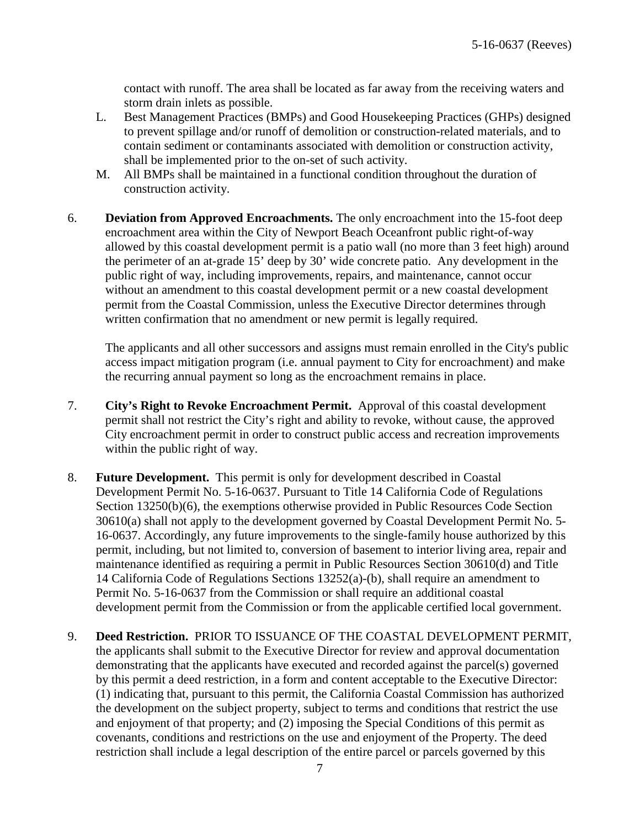contact with runoff. The area shall be located as far away from the receiving waters and storm drain inlets as possible.

- L. Best Management Practices (BMPs) and Good Housekeeping Practices (GHPs) designed to prevent spillage and/or runoff of demolition or construction-related materials, and to contain sediment or contaminants associated with demolition or construction activity, shall be implemented prior to the on-set of such activity.
- M. All BMPs shall be maintained in a functional condition throughout the duration of construction activity.
- 6. **Deviation from Approved Encroachments.** The only encroachment into the 15-foot deep encroachment area within the City of Newport Beach Oceanfront public right-of-way allowed by this coastal development permit is a patio wall (no more than 3 feet high) around the perimeter of an at-grade 15' deep by 30' wide concrete patio. Any development in the public right of way, including improvements, repairs, and maintenance, cannot occur without an amendment to this coastal development permit or a new coastal development permit from the Coastal Commission, unless the Executive Director determines through written confirmation that no amendment or new permit is legally required.

The applicants and all other successors and assigns must remain enrolled in the City's public access impact mitigation program (i.e. annual payment to City for encroachment) and make the recurring annual payment so long as the encroachment remains in place.

- 7. **City's Right to Revoke Encroachment Permit.** Approval of this coastal development permit shall not restrict the City's right and ability to revoke, without cause, the approved City encroachment permit in order to construct public access and recreation improvements within the public right of way.
- 8. **Future Development.** This permit is only for development described in Coastal Development Permit No. 5-16-0637. Pursuant to Title 14 California Code of Regulations Section 13250(b)(6), the exemptions otherwise provided in Public Resources Code Section 30610(a) shall not apply to the development governed by Coastal Development Permit No. 5- 16-0637. Accordingly, any future improvements to the single-family house authorized by this permit, including, but not limited to, conversion of basement to interior living area, repair and maintenance identified as requiring a permit in Public Resources Section 30610(d) and Title 14 California Code of Regulations Sections 13252(a)-(b), shall require an amendment to Permit No. 5-16-0637 from the Commission or shall require an additional coastal development permit from the Commission or from the applicable certified local government.
- 9. **Deed Restriction.** PRIOR TO ISSUANCE OF THE COASTAL DEVELOPMENT PERMIT, the applicants shall submit to the Executive Director for review and approval documentation demonstrating that the applicants have executed and recorded against the parcel(s) governed by this permit a deed restriction, in a form and content acceptable to the Executive Director: (1) indicating that, pursuant to this permit, the California Coastal Commission has authorized the development on the subject property, subject to terms and conditions that restrict the use and enjoyment of that property; and (2) imposing the Special Conditions of this permit as covenants, conditions and restrictions on the use and enjoyment of the Property. The deed restriction shall include a legal description of the entire parcel or parcels governed by this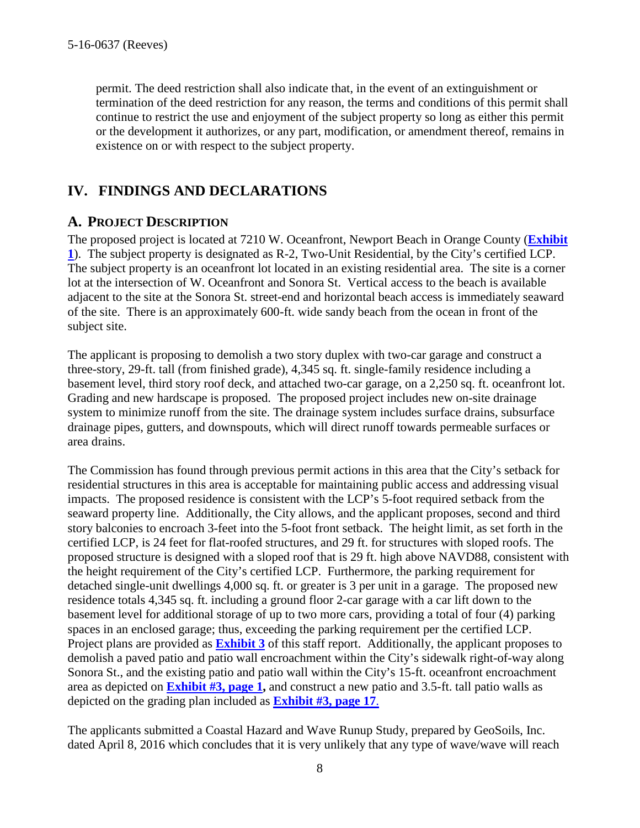permit. The deed restriction shall also indicate that, in the event of an extinguishment or termination of the deed restriction for any reason, the terms and conditions of this permit shall continue to restrict the use and enjoyment of the subject property so long as either this permit or the development it authorizes, or any part, modification, or amendment thereof, remains in existence on or with respect to the subject property.

#### <span id="page-7-0"></span>**IV. FINDINGS AND DECLARATIONS**

#### <span id="page-7-1"></span>**A. PROJECT DESCRIPTION**

The proposed project is located at 7210 W. Oceanfront, Newport Beach in Orange County (**[Exhibit](https://documents.coastal.ca.gov/reports/2017/5/F8b/F8b-5-2017-exhibits.pdf) [1](https://documents.coastal.ca.gov/reports/2017/5/F8b/F8b-5-2017-exhibits.pdf)**). The subject property is designated as R-2, Two-Unit Residential, by the City's certified LCP. The subject property is an oceanfront lot located in an existing residential area. The site is a corner lot at the intersection of W. Oceanfront and Sonora St. Vertical access to the beach is available adjacent to the site at the Sonora St. street-end and horizontal beach access is immediately seaward of the site. There is an approximately 600-ft. wide sandy beach from the ocean in front of the subject site.

The applicant is proposing to demolish a two story duplex with two-car garage and construct a three-story, 29-ft. tall (from finished grade), 4,345 sq. ft. single-family residence including a basement level, third story roof deck, and attached two-car garage, on a 2,250 sq. ft. oceanfront lot. Grading and new hardscape is proposed. The proposed project includes new on-site drainage system to minimize runoff from the site. The drainage system includes surface drains, subsurface drainage pipes, gutters, and downspouts, which will direct runoff towards permeable surfaces or area drains.

The Commission has found through previous permit actions in this area that the City's setback for residential structures in this area is acceptable for maintaining public access and addressing visual impacts. The proposed residence is consistent with the LCP's 5-foot required setback from the seaward property line. Additionally, the City allows, and the applicant proposes, second and third story balconies to encroach 3-feet into the 5-foot front setback. The height limit, as set forth in the certified LCP, is 24 feet for flat-roofed structures, and 29 ft. for structures with sloped roofs. The proposed structure is designed with a sloped roof that is 29 ft. high above NAVD88, consistent with the height requirement of the City's certified LCP. Furthermore, the parking requirement for detached single-unit dwellings 4,000 sq. ft. or greater is 3 per unit in a garage. The proposed new residence totals 4,345 sq. ft. including a ground floor 2-car garage with a car lift down to the basement level for additional storage of up to two more cars, providing a total of four (4) parking spaces in an enclosed garage; thus, exceeding the parking requirement per the certified LCP. Project plans are provided as **[Exhibit 3](https://documents.coastal.ca.gov/reports/2017/5/F8b/F8b-5-2017-exhibits.pdf)** of this staff report. Additionally, the applicant proposes to demolish a paved patio and patio wall encroachment within the City's sidewalk right-of-way along Sonora St., and the existing patio and patio wall within the City's 15-ft. oceanfront encroachment area as depicted on **[Exhibit #3, page 1,](https://documents.coastal.ca.gov/reports/2017/5/F8b/F8b-5-2017-exhibits.pdf)** and construct a new patio and 3.5-ft. tall patio walls as depicted on the grading plan included as **[Exhibit #3, page 17](https://documents.coastal.ca.gov/reports/2017/5/F8b/F8b-5-2017-exhibits.pdf)**.

The applicants submitted a Coastal Hazard and Wave Runup Study, prepared by GeoSoils, Inc. dated April 8, 2016 which concludes that it is very unlikely that any type of wave/wave will reach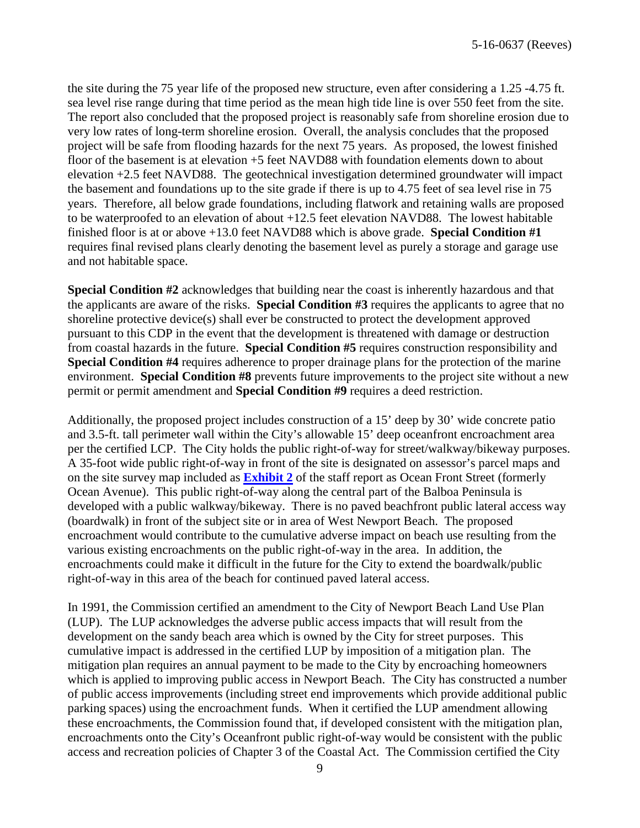the site during the 75 year life of the proposed new structure, even after considering a 1.25 -4.75 ft. sea level rise range during that time period as the mean high tide line is over 550 feet from the site. The report also concluded that the proposed project is reasonably safe from shoreline erosion due to very low rates of long-term shoreline erosion. Overall, the analysis concludes that the proposed project will be safe from flooding hazards for the next 75 years. As proposed, the lowest finished floor of the basement is at elevation +5 feet NAVD88 with foundation elements down to about elevation +2.5 feet NAVD88. The geotechnical investigation determined groundwater will impact the basement and foundations up to the site grade if there is up to 4.75 feet of sea level rise in 75 years. Therefore, all below grade foundations, including flatwork and retaining walls are proposed to be waterproofed to an elevation of about +12.5 feet elevation NAVD88. The lowest habitable finished floor is at or above +13.0 feet NAVD88 which is above grade. **Special Condition #1** requires final revised plans clearly denoting the basement level as purely a storage and garage use and not habitable space.

**Special Condition #2** acknowledges that building near the coast is inherently hazardous and that the applicants are aware of the risks. **Special Condition #3** requires the applicants to agree that no shoreline protective device(s) shall ever be constructed to protect the development approved pursuant to this CDP in the event that the development is threatened with damage or destruction from coastal hazards in the future. **Special Condition #5** requires construction responsibility and **Special Condition #4** requires adherence to proper drainage plans for the protection of the marine environment. **Special Condition #8** prevents future improvements to the project site without a new permit or permit amendment and **Special Condition #9** requires a deed restriction.

Additionally, the proposed project includes construction of a 15' deep by 30' wide concrete patio and 3.5-ft. tall perimeter wall within the City's allowable 15' deep oceanfront encroachment area per the certified LCP. The City holds the public right-of-way for street/walkway/bikeway purposes. A 35-foot wide public right-of-way in front of the site is designated on assessor's parcel maps and on the site survey map included as **[Exhibit 2](https://documents.coastal.ca.gov/reports/2017/5/F8b/F8b-5-2017-exhibits.pdf)** of the staff report as Ocean Front Street (formerly Ocean Avenue). This public right-of-way along the central part of the Balboa Peninsula is developed with a public walkway/bikeway. There is no paved beachfront public lateral access way (boardwalk) in front of the subject site or in area of West Newport Beach. The proposed encroachment would contribute to the cumulative adverse impact on beach use resulting from the various existing encroachments on the public right-of-way in the area. In addition, the encroachments could make it difficult in the future for the City to extend the boardwalk/public right-of-way in this area of the beach for continued paved lateral access.

In 1991, the Commission certified an amendment to the City of Newport Beach Land Use Plan (LUP). The LUP acknowledges the adverse public access impacts that will result from the development on the sandy beach area which is owned by the City for street purposes. This cumulative impact is addressed in the certified LUP by imposition of a mitigation plan. The mitigation plan requires an annual payment to be made to the City by encroaching homeowners which is applied to improving public access in Newport Beach. The City has constructed a number of public access improvements (including street end improvements which provide additional public parking spaces) using the encroachment funds. When it certified the LUP amendment allowing these encroachments, the Commission found that, if developed consistent with the mitigation plan, encroachments onto the City's Oceanfront public right-of-way would be consistent with the public access and recreation policies of Chapter 3 of the Coastal Act. The Commission certified the City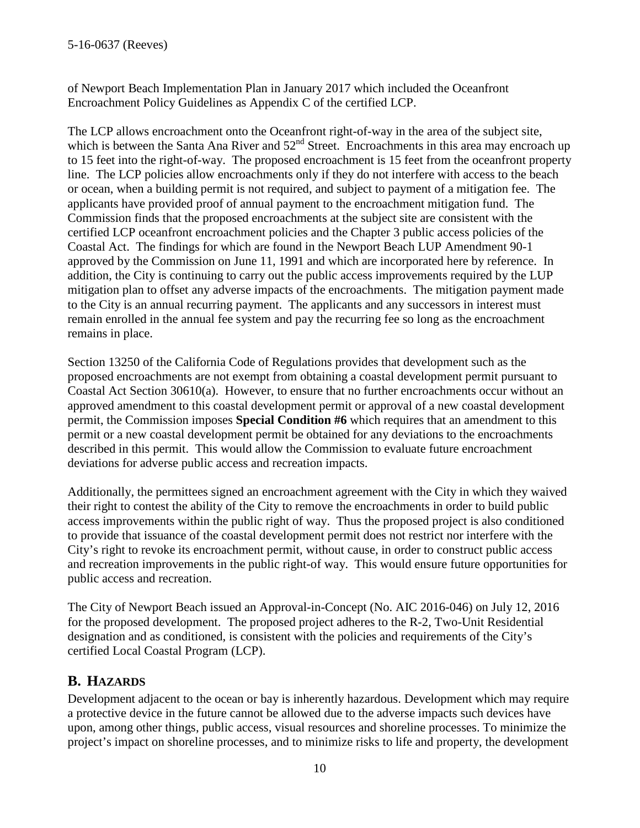of Newport Beach Implementation Plan in January 2017 which included the Oceanfront Encroachment Policy Guidelines as Appendix C of the certified LCP.

The LCP allows encroachment onto the Oceanfront right-of-way in the area of the subject site, which is between the Santa Ana River and  $52<sup>nd</sup>$  Street. Encroachments in this area may encroach up to 15 feet into the right-of-way. The proposed encroachment is 15 feet from the oceanfront property line. The LCP policies allow encroachments only if they do not interfere with access to the beach or ocean, when a building permit is not required, and subject to payment of a mitigation fee. The applicants have provided proof of annual payment to the encroachment mitigation fund. The Commission finds that the proposed encroachments at the subject site are consistent with the certified LCP oceanfront encroachment policies and the Chapter 3 public access policies of the Coastal Act. The findings for which are found in the Newport Beach LUP Amendment 90-1 approved by the Commission on June 11, 1991 and which are incorporated here by reference. In addition, the City is continuing to carry out the public access improvements required by the LUP mitigation plan to offset any adverse impacts of the encroachments. The mitigation payment made to the City is an annual recurring payment. The applicants and any successors in interest must remain enrolled in the annual fee system and pay the recurring fee so long as the encroachment remains in place.

Section 13250 of the California Code of Regulations provides that development such as the proposed encroachments are not exempt from obtaining a coastal development permit pursuant to Coastal Act Section 30610(a). However, to ensure that no further encroachments occur without an approved amendment to this coastal development permit or approval of a new coastal development permit, the Commission imposes **Special Condition #6** which requires that an amendment to this permit or a new coastal development permit be obtained for any deviations to the encroachments described in this permit. This would allow the Commission to evaluate future encroachment deviations for adverse public access and recreation impacts.

Additionally, the permittees signed an encroachment agreement with the City in which they waived their right to contest the ability of the City to remove the encroachments in order to build public access improvements within the public right of way. Thus the proposed project is also conditioned to provide that issuance of the coastal development permit does not restrict nor interfere with the City's right to revoke its encroachment permit, without cause, in order to construct public access and recreation improvements in the public right-of way. This would ensure future opportunities for public access and recreation.

The City of Newport Beach issued an Approval-in-Concept (No. AIC 2016-046) on July 12, 2016 for the proposed development. The proposed project adheres to the R-2, Two-Unit Residential designation and as conditioned, is consistent with the policies and requirements of the City's certified Local Coastal Program (LCP).

#### <span id="page-9-0"></span>**B. HAZARDS**

Development adjacent to the ocean or bay is inherently hazardous. Development which may require a protective device in the future cannot be allowed due to the adverse impacts such devices have upon, among other things, public access, visual resources and shoreline processes. To minimize the project's impact on shoreline processes, and to minimize risks to life and property, the development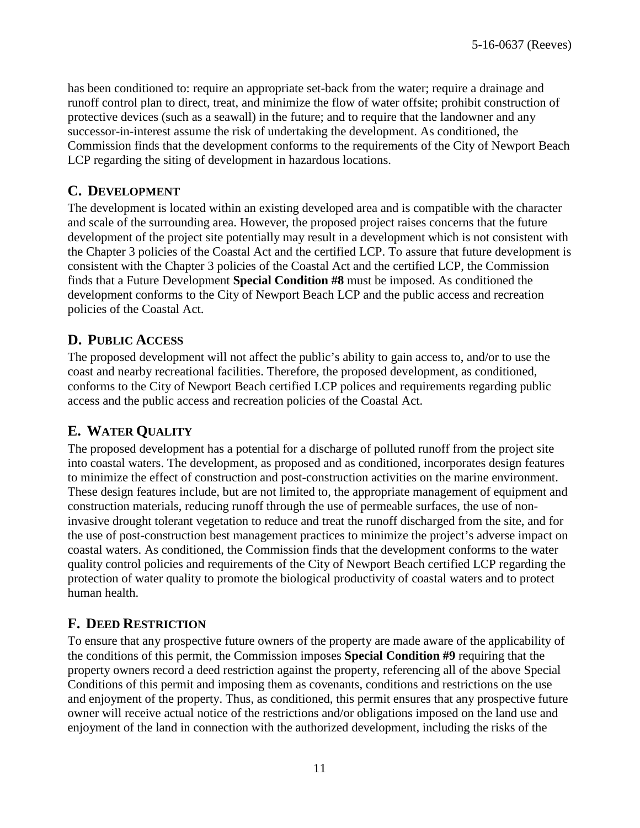has been conditioned to: require an appropriate set-back from the water; require a drainage and runoff control plan to direct, treat, and minimize the flow of water offsite; prohibit construction of protective devices (such as a seawall) in the future; and to require that the landowner and any successor-in-interest assume the risk of undertaking the development. As conditioned, the Commission finds that the development conforms to the requirements of the City of Newport Beach LCP regarding the siting of development in hazardous locations.

#### <span id="page-10-0"></span>**C. DEVELOPMENT**

The development is located within an existing developed area and is compatible with the character and scale of the surrounding area. However, the proposed project raises concerns that the future development of the project site potentially may result in a development which is not consistent with the Chapter 3 policies of the Coastal Act and the certified LCP. To assure that future development is consistent with the Chapter 3 policies of the Coastal Act and the certified LCP, the Commission finds that a Future Development **Special Condition #8** must be imposed. As conditioned the development conforms to the City of Newport Beach LCP and the public access and recreation policies of the Coastal Act.

#### <span id="page-10-1"></span>**D. PUBLIC ACCESS**

The proposed development will not affect the public's ability to gain access to, and/or to use the coast and nearby recreational facilities. Therefore, the proposed development, as conditioned, conforms to the City of Newport Beach certified LCP polices and requirements regarding public access and the public access and recreation policies of the Coastal Act.

#### <span id="page-10-2"></span>**E. WATER QUALITY**

The proposed development has a potential for a discharge of polluted runoff from the project site into coastal waters. The development, as proposed and as conditioned, incorporates design features to minimize the effect of construction and post-construction activities on the marine environment. These design features include, but are not limited to, the appropriate management of equipment and construction materials, reducing runoff through the use of permeable surfaces, the use of noninvasive drought tolerant vegetation to reduce and treat the runoff discharged from the site, and for the use of post-construction best management practices to minimize the project's adverse impact on coastal waters. As conditioned, the Commission finds that the development conforms to the water quality control policies and requirements of the City of Newport Beach certified LCP regarding the protection of water quality to promote the biological productivity of coastal waters and to protect human health.

#### <span id="page-10-3"></span>**F. DEED RESTRICTION**

To ensure that any prospective future owners of the property are made aware of the applicability of the conditions of this permit, the Commission imposes **Special Condition #9** requiring that the property owners record a deed restriction against the property, referencing all of the above Special Conditions of this permit and imposing them as covenants, conditions and restrictions on the use and enjoyment of the property. Thus, as conditioned, this permit ensures that any prospective future owner will receive actual notice of the restrictions and/or obligations imposed on the land use and enjoyment of the land in connection with the authorized development, including the risks of the